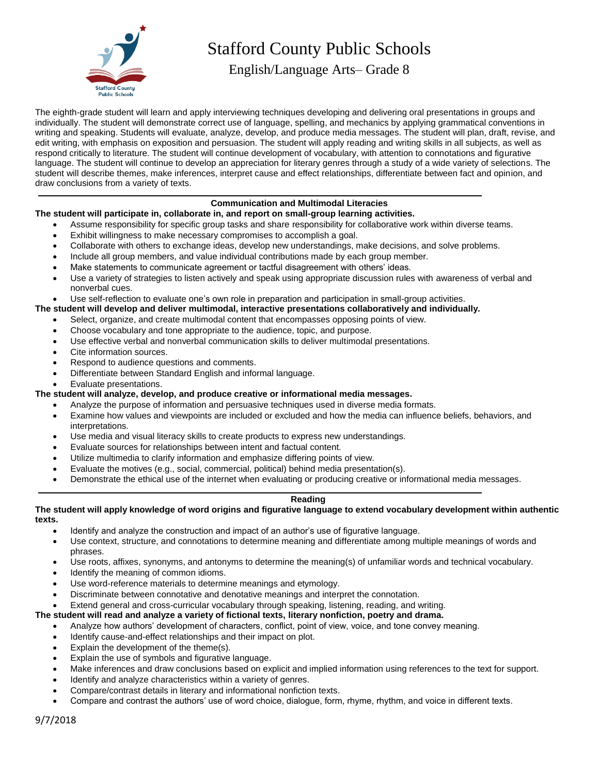

# Stafford County Public Schools

English/Language Arts– Grade 8

The eighth-grade student will learn and apply interviewing techniques developing and delivering oral presentations in groups and individually. The student will demonstrate correct use of language, spelling, and mechanics by applying grammatical conventions in writing and speaking. Students will evaluate, analyze, develop, and produce media messages. The student will plan, draft, revise, and edit writing, with emphasis on exposition and persuasion. The student will apply reading and writing skills in all subjects, as well as respond critically to literature. The student will continue development of vocabulary, with attention to connotations and figurative language. The student will continue to develop an appreciation for literary genres through a study of a wide variety of selections. The student will describe themes, make inferences, interpret cause and effect relationships, differentiate between fact and opinion, and draw conclusions from a variety of texts.

# **Communication and Multimodal Literacies**

# **The student will participate in, collaborate in, and report on small-group learning activities.**

- Assume responsibility for specific group tasks and share responsibility for collaborative work within diverse teams.
- Exhibit willingness to make necessary compromises to accomplish a goal.
- Collaborate with others to exchange ideas, develop new understandings, make decisions, and solve problems.
- Include all group members, and value individual contributions made by each group member.
- Make statements to communicate agreement or tactful disagreement with others' ideas.
- Use a variety of strategies to listen actively and speak using appropriate discussion rules with awareness of verbal and nonverbal cues.
- Use self-reflection to evaluate one's own role in preparation and participation in small-group activities.
- **The student will develop and deliver multimodal, interactive presentations collaboratively and individually.**
	- Select, organize, and create multimodal content that encompasses opposing points of view.
	- Choose vocabulary and tone appropriate to the audience, topic, and purpose.
	- Use effective verbal and nonverbal communication skills to deliver multimodal presentations.
	- Cite information sources.
	- Respond to audience questions and comments.
	- Differentiate between Standard English and informal language.
	- Evaluate presentations.

#### **The student will analyze, develop, and produce creative or informational media messages.**

- Analyze the purpose of information and persuasive techniques used in diverse media formats.
- Examine how values and viewpoints are included or excluded and how the media can influence beliefs, behaviors, and interpretations.
- Use media and visual literacy skills to create products to express new understandings.
- Evaluate sources for relationships between intent and factual content.
- Utilize multimedia to clarify information and emphasize differing points of view.
- Evaluate the motives (e.g., social, commercial, political) behind media presentation(s).
- Demonstrate the ethical use of the internet when evaluating or producing creative or informational media messages.

#### **Reading**

#### **The student will apply knowledge of word origins and figurative language to extend vocabulary development within authentic texts.**

- Identify and analyze the construction and impact of an author's use of figurative language.
- Use context, structure, and connotations to determine meaning and differentiate among multiple meanings of words and phrases.
- Use roots, affixes, synonyms, and antonyms to determine the meaning(s) of unfamiliar words and technical vocabulary.
- Identify the meaning of common idioms.
- Use word-reference materials to determine meanings and etymology.
- Discriminate between connotative and denotative meanings and interpret the connotation.
- Extend general and cross-curricular vocabulary through speaking, listening, reading, and writing.

#### **The student will read and analyze a variety of fictional texts, literary nonfiction, poetry and drama.**

- Analyze how authors' development of characters, conflict, point of view, voice, and tone convey meaning.
- Identify cause-and-effect relationships and their impact on plot.
- Explain the development of the theme(s).
- Explain the use of symbols and figurative language.
- Make inferences and draw conclusions based on explicit and implied information using references to the text for support.
- Identify and analyze characteristics within a variety of genres.
- Compare/contrast details in literary and informational nonfiction texts.
- Compare and contrast the authors' use of word choice, dialogue, form, rhyme, rhythm, and voice in different texts.